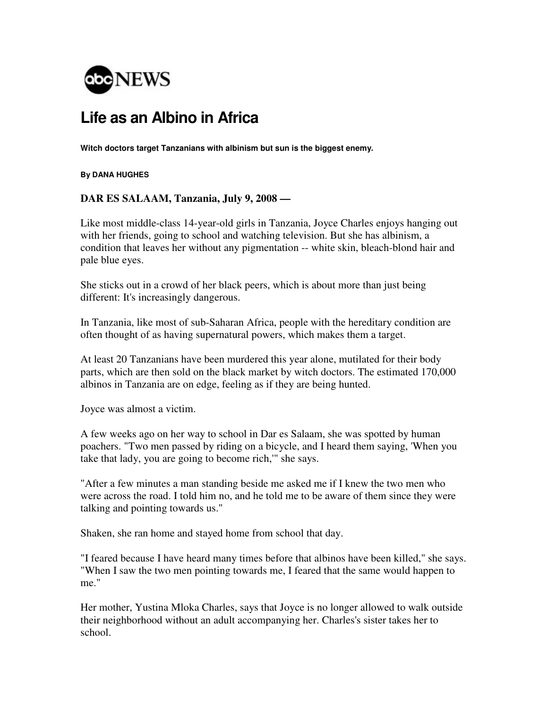

## **Life as an Albino in Africa**

**Witch doctors target Tanzanians with albinism but sun is the biggest enemy.** 

**By DANA HUGHES** 

## **DAR ES SALAAM, Tanzania, July 9, 2008 —**

Like most middle-class 14-year-old girls in Tanzania, Joyce Charles enjoys hanging out with her friends, going to school and watching television. But she has albinism, a condition that leaves her without any pigmentation -- white skin, bleach-blond hair and pale blue eyes.

She sticks out in a crowd of her black peers, which is about more than just being different: It's increasingly dangerous.

In Tanzania, like most of sub-Saharan Africa, people with the hereditary condition are often thought of as having supernatural powers, which makes them a target.

At least 20 Tanzanians have been murdered this year alone, mutilated for their body parts, which are then sold on the black market by witch doctors. The estimated 170,000 albinos in Tanzania are on edge, feeling as if they are being hunted.

Joyce was almost a victim.

A few weeks ago on her way to school in Dar es Salaam, she was spotted by human poachers. "Two men passed by riding on a bicycle, and I heard them saying, 'When you take that lady, you are going to become rich,'" she says.

"After a few minutes a man standing beside me asked me if I knew the two men who were across the road. I told him no, and he told me to be aware of them since they were talking and pointing towards us."

Shaken, she ran home and stayed home from school that day.

"I feared because I have heard many times before that albinos have been killed," she says. "When I saw the two men pointing towards me, I feared that the same would happen to me."

Her mother, Yustina Mloka Charles, says that Joyce is no longer allowed to walk outside their neighborhood without an adult accompanying her. Charles's sister takes her to school.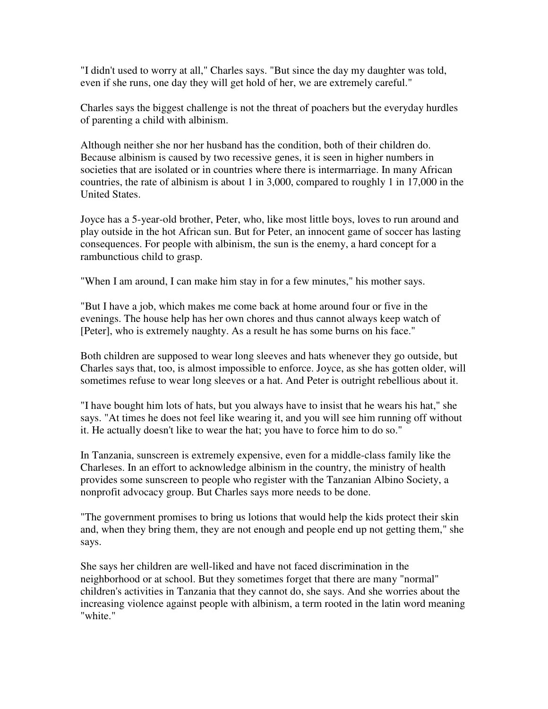"I didn't used to worry at all," Charles says. "But since the day my daughter was told, even if she runs, one day they will get hold of her, we are extremely careful."

Charles says the biggest challenge is not the threat of poachers but the everyday hurdles of parenting a child with albinism.

Although neither she nor her husband has the condition, both of their children do. Because albinism is caused by two recessive genes, it is seen in higher numbers in societies that are isolated or in countries where there is intermarriage. In many African countries, the rate of albinism is about 1 in 3,000, compared to roughly 1 in 17,000 in the United States.

Joyce has a 5-year-old brother, Peter, who, like most little boys, loves to run around and play outside in the hot African sun. But for Peter, an innocent game of soccer has lasting consequences. For people with albinism, the sun is the enemy, a hard concept for a rambunctious child to grasp.

"When I am around, I can make him stay in for a few minutes," his mother says.

"But I have a job, which makes me come back at home around four or five in the evenings. The house help has her own chores and thus cannot always keep watch of [Peter], who is extremely naughty. As a result he has some burns on his face."

Both children are supposed to wear long sleeves and hats whenever they go outside, but Charles says that, too, is almost impossible to enforce. Joyce, as she has gotten older, will sometimes refuse to wear long sleeves or a hat. And Peter is outright rebellious about it.

"I have bought him lots of hats, but you always have to insist that he wears his hat," she says. "At times he does not feel like wearing it, and you will see him running off without it. He actually doesn't like to wear the hat; you have to force him to do so."

In Tanzania, sunscreen is extremely expensive, even for a middle-class family like the Charleses. In an effort to acknowledge albinism in the country, the ministry of health provides some sunscreen to people who register with the Tanzanian Albino Society, a nonprofit advocacy group. But Charles says more needs to be done.

"The government promises to bring us lotions that would help the kids protect their skin and, when they bring them, they are not enough and people end up not getting them," she says.

She says her children are well-liked and have not faced discrimination in the neighborhood or at school. But they sometimes forget that there are many "normal" children's activities in Tanzania that they cannot do, she says. And she worries about the increasing violence against people with albinism, a term rooted in the latin word meaning "white."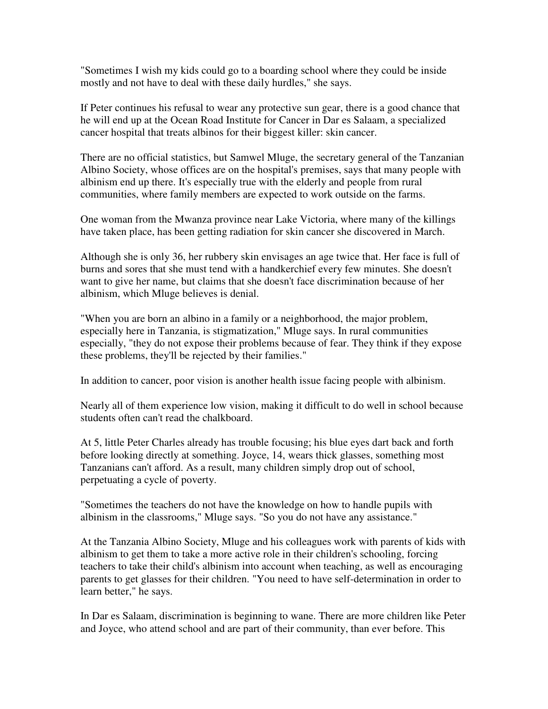"Sometimes I wish my kids could go to a boarding school where they could be inside mostly and not have to deal with these daily hurdles," she says.

If Peter continues his refusal to wear any protective sun gear, there is a good chance that he will end up at the Ocean Road Institute for Cancer in Dar es Salaam, a specialized cancer hospital that treats albinos for their biggest killer: skin cancer.

There are no official statistics, but Samwel Mluge, the secretary general of the Tanzanian Albino Society, whose offices are on the hospital's premises, says that many people with albinism end up there. It's especially true with the elderly and people from rural communities, where family members are expected to work outside on the farms.

One woman from the Mwanza province near Lake Victoria, where many of the killings have taken place, has been getting radiation for skin cancer she discovered in March.

Although she is only 36, her rubbery skin envisages an age twice that. Her face is full of burns and sores that she must tend with a handkerchief every few minutes. She doesn't want to give her name, but claims that she doesn't face discrimination because of her albinism, which Mluge believes is denial.

"When you are born an albino in a family or a neighborhood, the major problem, especially here in Tanzania, is stigmatization," Mluge says. In rural communities especially, "they do not expose their problems because of fear. They think if they expose these problems, they'll be rejected by their families."

In addition to cancer, poor vision is another health issue facing people with albinism.

Nearly all of them experience low vision, making it difficult to do well in school because students often can't read the chalkboard.

At 5, little Peter Charles already has trouble focusing; his blue eyes dart back and forth before looking directly at something. Joyce, 14, wears thick glasses, something most Tanzanians can't afford. As a result, many children simply drop out of school, perpetuating a cycle of poverty.

"Sometimes the teachers do not have the knowledge on how to handle pupils with albinism in the classrooms," Mluge says. "So you do not have any assistance."

At the Tanzania Albino Society, Mluge and his colleagues work with parents of kids with albinism to get them to take a more active role in their children's schooling, forcing teachers to take their child's albinism into account when teaching, as well as encouraging parents to get glasses for their children. "You need to have self-determination in order to learn better," he says.

In Dar es Salaam, discrimination is beginning to wane. There are more children like Peter and Joyce, who attend school and are part of their community, than ever before. This